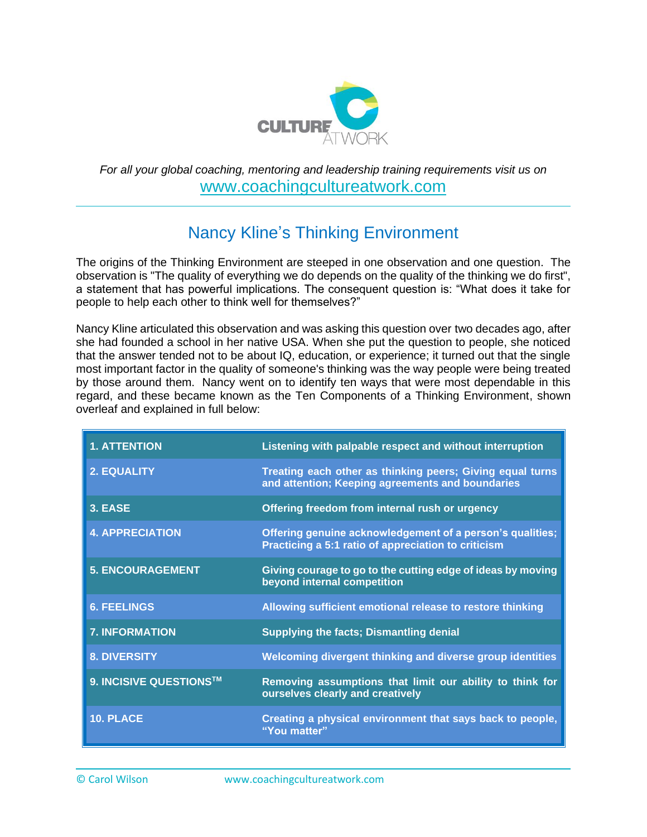

# *For all your global coaching, mentoring and leadership training requirements visit us on* [www.coachingcultureatwork.com](http://www.coachingcultureatwork.com/)

# Nancy Kline's Thinking Environment

The origins of the Thinking Environment are steeped in one observation and one question. The observation is "The quality of everything we do depends on the quality of the thinking we do first", a statement that has powerful implications. The consequent question is: "What does it take for people to help each other to think well for themselves?"

Nancy Kline articulated this observation and was asking this question over two decades ago, after she had founded a school in her native USA. When she put the question to people, she noticed that the answer tended not to be about IQ, education, or experience; it turned out that the single most important factor in the quality of someone's thinking was the way people were being treated by those around them. Nancy went on to identify ten ways that were most dependable in this regard, and these became known as the Ten Components of a Thinking Environment, shown overleaf and explained in full below:

| <b>1. ATTENTION</b>     | Listening with palpable respect and without interruption                                                         |
|-------------------------|------------------------------------------------------------------------------------------------------------------|
| <b>2. EQUALITY</b>      | Treating each other as thinking peers; Giving equal turns<br>and attention; Keeping agreements and boundaries    |
| 3. EASE                 | Offering freedom from internal rush or urgency                                                                   |
| <b>4. APPRECIATION</b>  | Offering genuine acknowledgement of a person's qualities;<br>Practicing a 5:1 ratio of appreciation to criticism |
| <b>5. ENCOURAGEMENT</b> | Giving courage to go to the cutting edge of ideas by moving<br>beyond internal competition                       |
| <b>6. FEELINGS</b>      | Allowing sufficient emotional release to restore thinking                                                        |
| <b>7. INFORMATION</b>   | <b>Supplying the facts; Dismantling denial</b>                                                                   |
| <b>8. DIVERSITY</b>     | Welcoming divergent thinking and diverse group identities                                                        |
| 9. INCISIVE QUESTIONS™  | Removing assumptions that limit our ability to think for<br>ourselves clearly and creatively                     |
| 10. PLACE               | Creating a physical environment that says back to people,<br>"You matter"                                        |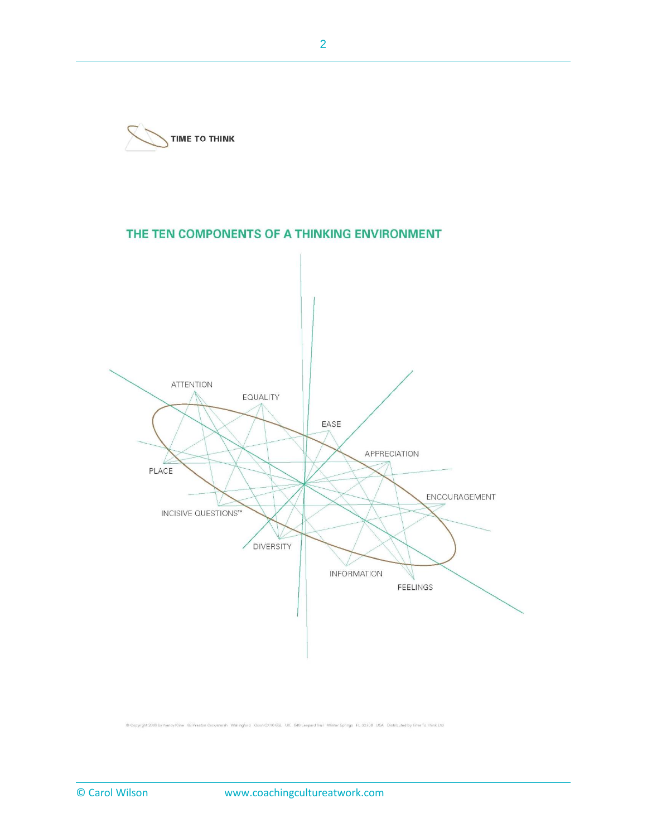

# THE TEN COMPONENTS OF A THINKING ENVIRONMENT



@ Copyright 2008 by Nancy Kline 63 Preston Crowmarsh Wallingford Oxon OX10 6SL UK 849 Leopard Trail Winter Springs FL 32708 USA Distributed by Time To Think Ltd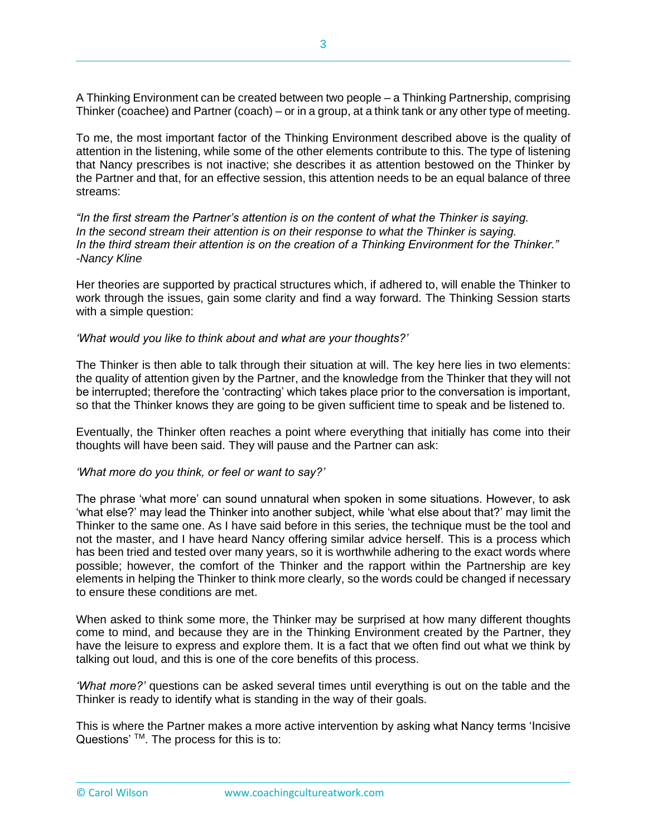A Thinking Environment can be created between two people – a Thinking Partnership, comprising Thinker (coachee) and Partner (coach) – or in a group, at a think tank or any other type of meeting.

To me, the most important factor of the Thinking Environment described above is the quality of attention in the listening, while some of the other elements contribute to this. The type of listening that Nancy prescribes is not inactive; she describes it as attention bestowed on the Thinker by the Partner and that, for an effective session, this attention needs to be an equal balance of three streams:

*"In the first stream the Partner's attention is on the content of what the Thinker is saying. In the second stream their attention is on their response to what the Thinker is saying. In the third stream their attention is on the creation of a Thinking Environment for the Thinker." -Nancy Kline*

Her theories are supported by practical structures which, if adhered to, will enable the Thinker to work through the issues, gain some clarity and find a way forward. The Thinking Session starts with a simple question:

*'What would you like to think about and what are your thoughts?'*

The Thinker is then able to talk through their situation at will. The key here lies in two elements: the quality of attention given by the Partner, and the knowledge from the Thinker that they will not be interrupted; therefore the 'contracting' which takes place prior to the conversation is important, so that the Thinker knows they are going to be given sufficient time to speak and be listened to.

Eventually, the Thinker often reaches a point where everything that initially has come into their thoughts will have been said. They will pause and the Partner can ask:

#### *'What more do you think, or feel or want to say?'*

The phrase 'what more' can sound unnatural when spoken in some situations. However, to ask 'what else?' may lead the Thinker into another subject, while 'what else about that?' may limit the Thinker to the same one. As I have said before in this series, the technique must be the tool and not the master, and I have heard Nancy offering similar advice herself. This is a process which has been tried and tested over many years, so it is worthwhile adhering to the exact words where possible; however, the comfort of the Thinker and the rapport within the Partnership are key elements in helping the Thinker to think more clearly, so the words could be changed if necessary to ensure these conditions are met.

When asked to think some more, the Thinker may be surprised at how many different thoughts come to mind, and because they are in the Thinking Environment created by the Partner, they have the leisure to express and explore them. It is a fact that we often find out what we think by talking out loud, and this is one of the core benefits of this process.

*'What more?'* questions can be asked several times until everything is out on the table and the Thinker is ready to identify what is standing in the way of their goals.

This is where the Partner makes a more active intervention by asking what Nancy terms 'Incisive Questions' ™. The process for this is to: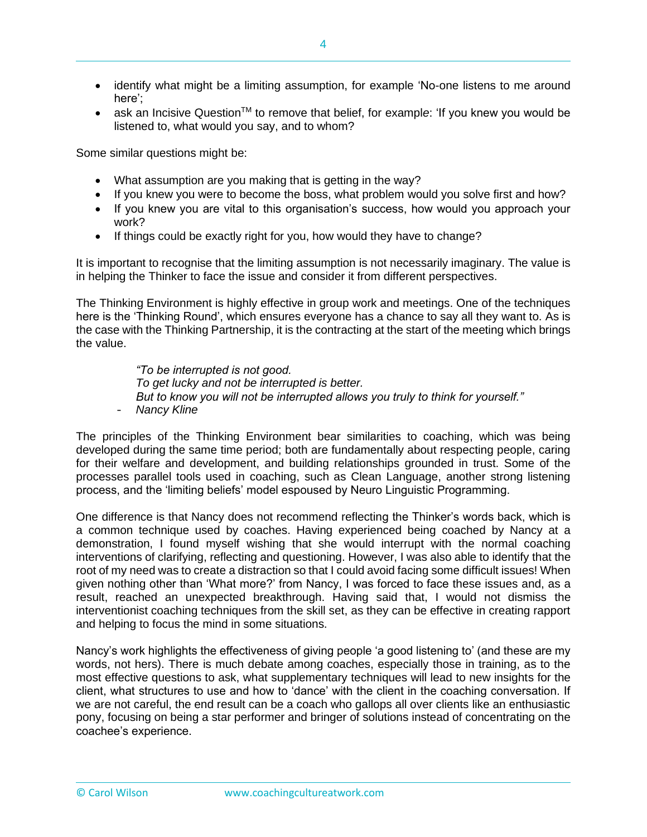- identify what might be a limiting assumption, for example 'No-one listens to me around here';
- ask an Incisive Question<sup>™</sup> to remove that belief, for example: 'If you knew you would be listened to, what would you say, and to whom?

Some similar questions might be:

- What assumption are you making that is getting in the way?
- If you knew you were to become the boss, what problem would you solve first and how?
- If you knew you are vital to this organisation's success, how would you approach your work?
- If things could be exactly right for you, how would they have to change?

It is important to recognise that the limiting assumption is not necessarily imaginary. The value is in helping the Thinker to face the issue and consider it from different perspectives.

The Thinking Environment is highly effective in group work and meetings. One of the techniques here is the 'Thinking Round', which ensures everyone has a chance to say all they want to. As is the case with the Thinking Partnership, it is the contracting at the start of the meeting which brings the value.

*"To be interrupted is not good. To get lucky and not be interrupted is better. But to know you will not be interrupted allows you truly to think for yourself."* - *Nancy Kline*

The principles of the Thinking Environment bear similarities to coaching, which was being developed during the same time period; both are fundamentally about respecting people, caring for their welfare and development, and building relationships grounded in trust. Some of the processes parallel tools used in coaching, such as Clean Language, another strong listening process, and the 'limiting beliefs' model espoused by Neuro Linguistic Programming.

One difference is that Nancy does not recommend reflecting the Thinker's words back, which is a common technique used by coaches. Having experienced being coached by Nancy at a demonstration, I found myself wishing that she would interrupt with the normal coaching interventions of clarifying, reflecting and questioning. However, I was also able to identify that the root of my need was to create a distraction so that I could avoid facing some difficult issues! When given nothing other than 'What more?' from Nancy, I was forced to face these issues and, as a result, reached an unexpected breakthrough. Having said that, I would not dismiss the interventionist coaching techniques from the skill set, as they can be effective in creating rapport and helping to focus the mind in some situations.

Nancy's work highlights the effectiveness of giving people 'a good listening to' (and these are my words, not hers). There is much debate among coaches, especially those in training, as to the most effective questions to ask, what supplementary techniques will lead to new insights for the client, what structures to use and how to 'dance' with the client in the coaching conversation. If we are not careful, the end result can be a coach who gallops all over clients like an enthusiastic pony, focusing on being a star performer and bringer of solutions instead of concentrating on the coachee's experience.